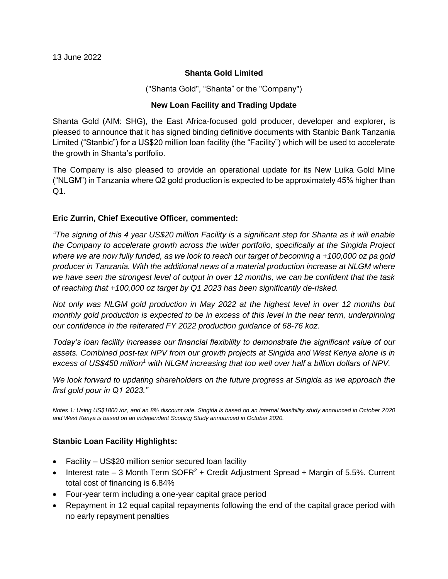### **Shanta Gold Limited**

("Shanta Gold", "Shanta" or the "Company")

### **New Loan Facility and Trading Update**

Shanta Gold (AIM: SHG), the East Africa-focused gold producer, developer and explorer, is pleased to announce that it has signed binding definitive documents with Stanbic Bank Tanzania Limited ("Stanbic") for a US\$20 million loan facility (the "Facility") which will be used to accelerate the growth in Shanta's portfolio.

The Company is also pleased to provide an operational update for its New Luika Gold Mine ("NLGM") in Tanzania where Q2 gold production is expected to be approximately 45% higher than Q1.

## **Eric Zurrin, Chief Executive Officer, commented:**

*"The signing of this 4 year US\$20 million Facility is a significant step for Shanta as it will enable the Company to accelerate growth across the wider portfolio, specifically at the Singida Project where we are now fully funded, as we look to reach our target of becoming a +100,000 oz pa gold producer in Tanzania. With the additional news of a material production increase at NLGM where we have seen the strongest level of output in over 12 months, we can be confident that the task of reaching that +100,000 oz target by Q1 2023 has been significantly de-risked.*

*Not only was NLGM gold production in May 2022 at the highest level in over 12 months but monthly gold production is expected to be in excess of this level in the near term, underpinning our confidence in the reiterated FY 2022 production guidance of 68-76 koz.*

*Today's loan facility increases our financial flexibility to demonstrate the significant value of our assets. Combined post-tax NPV from our growth projects at Singida and West Kenya alone is in excess of US\$450 million<sup>1</sup> with NLGM increasing that too well over half a billion dollars of NPV.*

*We look forward to updating shareholders on the future progress at Singida as we approach the first gold pour in Q1 2023."* 

*Notes 1: Using US\$1800 /oz, and an 8% discount rate. Singida is based on an internal feasibility study announced in October 2020 and West Kenya is based on an independent Scoping Study announced in October 2020.* 

## **Stanbic Loan Facility Highlights:**

- Facility US\$20 million senior secured loan facility
- Interest rate  $-3$  Month Term SOFR<sup>2</sup> + Credit Adjustment Spread + Margin of 5.5%. Current total cost of financing is 6.84%
- Four-year term including a one-year capital grace period
- Repayment in 12 equal capital repayments following the end of the capital grace period with no early repayment penalties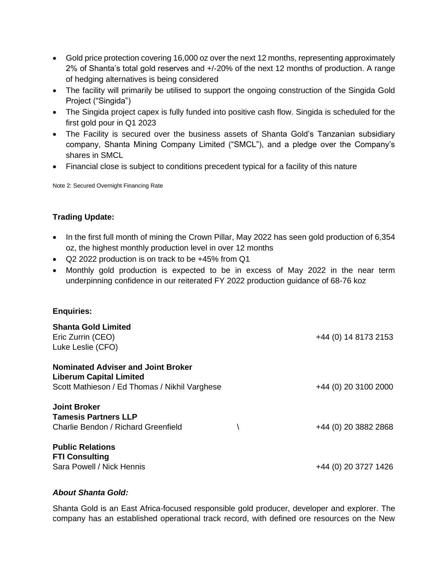- Gold price protection covering 16,000 oz over the next 12 months, representing approximately 2% of Shanta's total gold reserves and +/-20% of the next 12 months of production. A range of hedging alternatives is being considered
- The facility will primarily be utilised to support the ongoing construction of the Singida Gold Project ("Singida")
- The Singida project capex is fully funded into positive cash flow. Singida is scheduled for the first gold pour in Q1 2023
- The Facility is secured over the business assets of Shanta Gold's Tanzanian subsidiary company, Shanta Mining Company Limited ("SMCL"), and a pledge over the Company's shares in SMCL
- Financial close is subject to conditions precedent typical for a facility of this nature

Note 2: Secured Overnight Financing Rate

# **Trading Update:**

- In the first full month of mining the Crown Pillar, May 2022 has seen gold production of 6,354 oz, the highest monthly production level in over 12 months
- Q2 2022 production is on track to be +45% from Q1
- Monthly gold production is expected to be in excess of May 2022 in the near term underpinning confidence in our reiterated FY 2022 production guidance of 68-76 koz

## **Enquiries:**

| <b>Shanta Gold Limited</b><br>Eric Zurrin (CEO)<br>Luke Leslie (CFO)                                                         | +44 (0) 14 8173 2153 |
|------------------------------------------------------------------------------------------------------------------------------|----------------------|
| <b>Nominated Adviser and Joint Broker</b><br><b>Liberum Capital Limited</b><br>Scott Mathieson / Ed Thomas / Nikhil Varghese | +44 (0) 20 3100 2000 |
| <b>Joint Broker</b><br><b>Tamesis Partners LLP</b><br>Charlie Bendon / Richard Greenfield                                    | +44 (0) 20 3882 2868 |
| <b>Public Relations</b><br><b>FTI Consulting</b><br>Sara Powell / Nick Hennis                                                | +44 (0) 20 3727 1426 |

## *About Shanta Gold:*

Shanta Gold is an East Africa-focused responsible gold producer, developer and explorer. The company has an established operational track record, with defined ore resources on the New